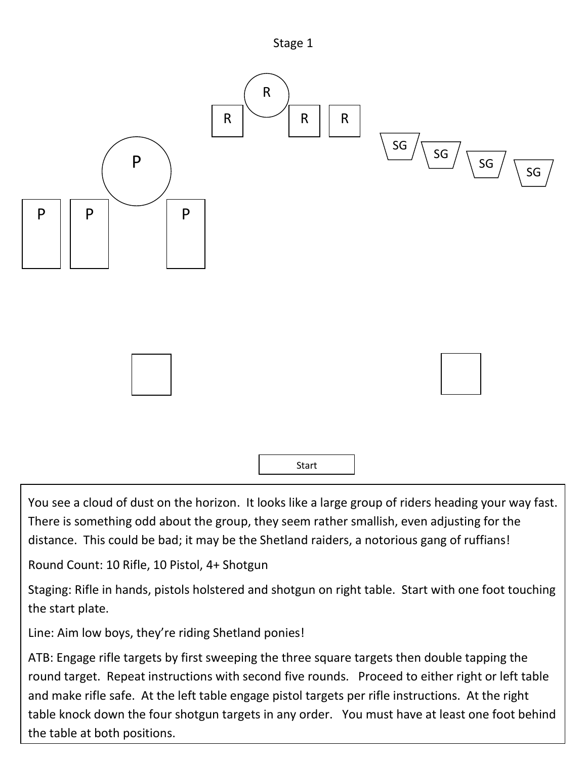



You see a cloud of dust on the horizon. It looks like a large group of riders heading your way fast. There is something odd about the group, they seem rather smallish, even adjusting for the distance. This could be bad; it may be the Shetland raiders, a notorious gang of ruffians!

Round Count: 10 Rifle, 10 Pistol, 4+ Shotgun

Staging: Rifle in hands, pistols holstered and shotgun on right table. Start with one foot touching the start plate.

Line: Aim low boys, they're riding Shetland ponies!

ATB: Engage rifle targets by first sweeping the three square targets then double tapping the round target. Repeat instructions with second five rounds. Proceed to either right or left table and make rifle safe. At the left table engage pistol targets per rifle instructions. At the right table knock down the four shotgun targets in any order. You must have at least one foot behind the table at both positions.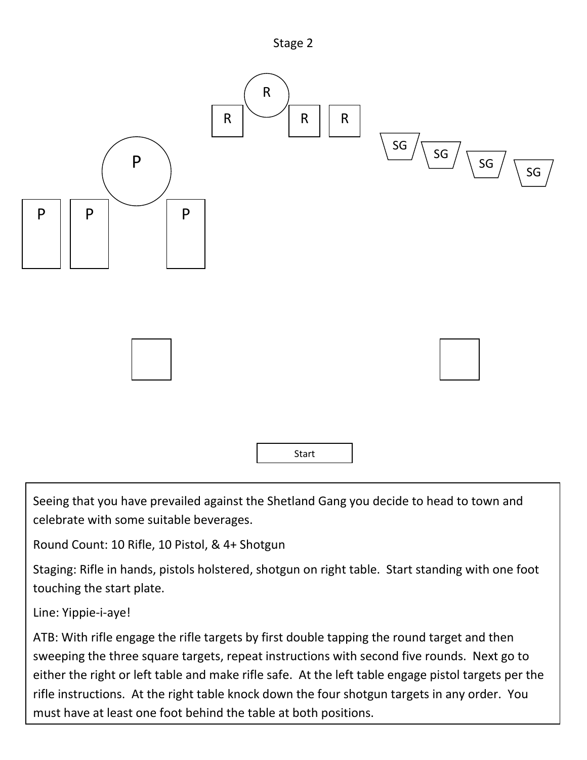



Seeing that you have prevailed against the Shetland Gang you decide to head to town and celebrate with some suitable beverages.

Round Count: 10 Rifle, 10 Pistol, & 4+ Shotgun

Staging: Rifle in hands, pistols holstered, shotgun on right table. Start standing with one foot touching the start plate.

Line: Yippie-i-aye!

ATB: With rifle engage the rifle targets by first double tapping the round target and then sweeping the three square targets, repeat instructions with second five rounds. Next go to either the right or left table and make rifle safe. At the left table engage pistol targets per the rifle instructions. At the right table knock down the four shotgun targets in any order. You must have at least one foot behind the table at both positions.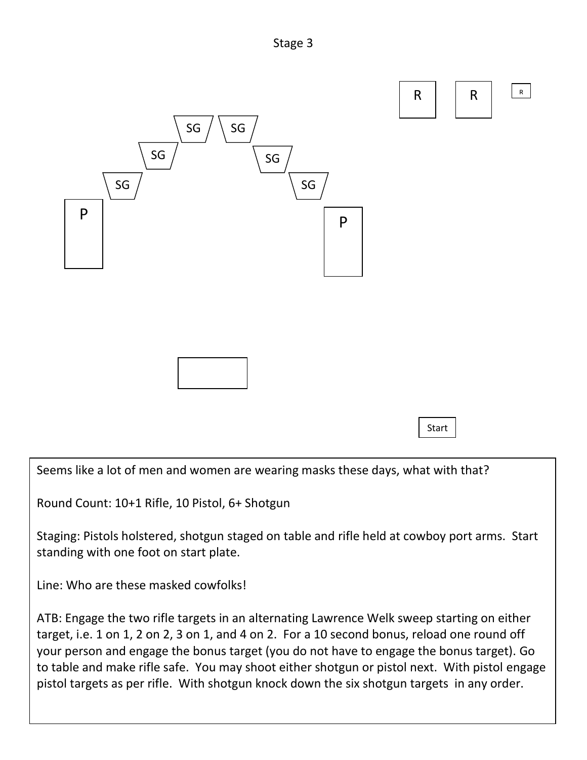



Seems like a lot of men and women are wearing masks these days, what with that?

Round Count: 10+1 Rifle, 10 Pistol, 6+ Shotgun

Staging: Pistols holstered, shotgun staged on table and rifle held at cowboy port arms. Start standing with one foot on start plate.

Line: Who are these masked cowfolks!

ATB: Engage the two rifle targets in an alternating Lawrence Welk sweep starting on either target, i.e. 1 on 1, 2 on 2, 3 on 1, and 4 on 2. For a 10 second bonus, reload one round off your person and engage the bonus target (you do not have to engage the bonus target). Go to table and make rifle safe. You may shoot either shotgun or pistol next. With pistol engage pistol targets as per rifle. With shotgun knock down the six shotgun targets in any order.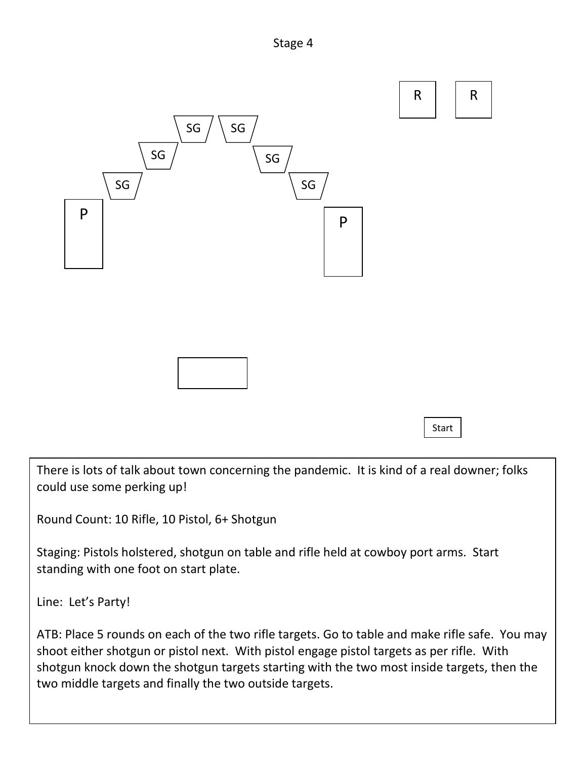



**Start** 

There is lots of talk about town concerning the pandemic. It is kind of a real downer; folks could use some perking up!

Round Count: 10 Rifle, 10 Pistol, 6+ Shotgun

Staging: Pistols holstered, shotgun on table and rifle held at cowboy port arms. Start standing with one foot on start plate.

Line: Let's Party!

ATB: Place 5 rounds on each of the two rifle targets. Go to table and make rifle safe. You may shoot either shotgun or pistol next. With pistol engage pistol targets as per rifle. With shotgun knock down the shotgun targets starting with the two most inside targets, then the two middle targets and finally the two outside targets.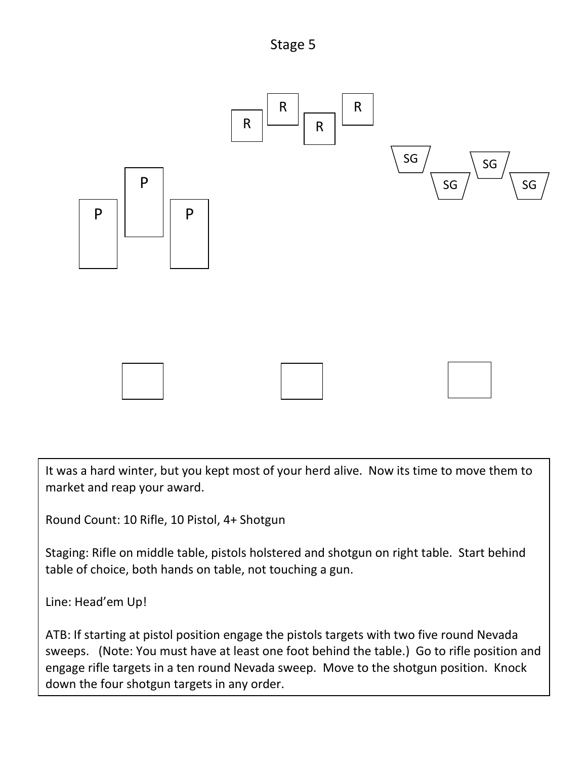Stage 5



It was a hard winter, but you kept most of your herd alive. Now its time to move them to market and reap your award.

Round Count: 10 Rifle, 10 Pistol, 4+ Shotgun

Staging: Rifle on middle table, pistols holstered and shotgun on right table. Start behind table of choice, both hands on table, not touching a gun.

Line: Head'em Up!

ATB: If starting at pistol position engage the pistols targets with two five round Nevada sweeps. (Note: You must have at least one foot behind the table.) Go to rifle position and engage rifle targets in a ten round Nevada sweep. Move to the shotgun position. Knock down the four shotgun targets in any order.